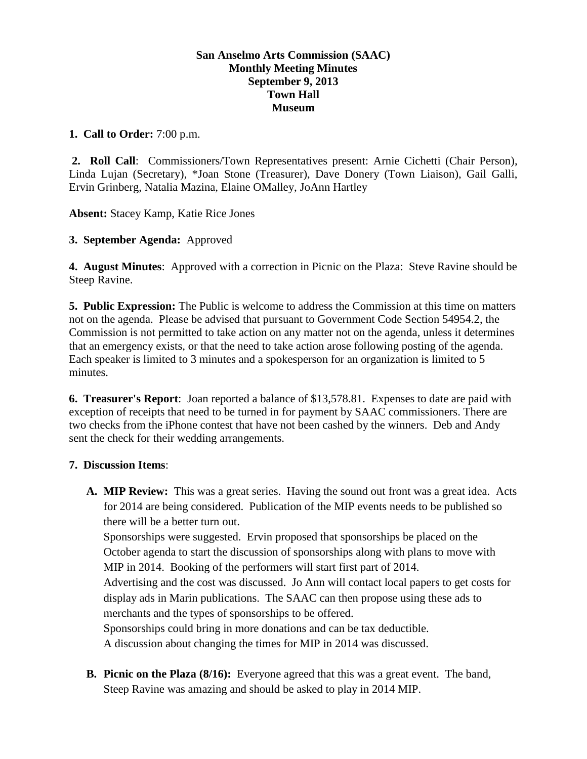## **San Anselmo Arts Commission (SAAC) Monthly Meeting Minutes September 9, 2013 Town Hall Museum**

## **1. Call to Order:** 7:00 p.m.

**2. Roll Call**: Commissioners/Town Representatives present: Arnie Cichetti (Chair Person), Linda Lujan (Secretary), \*Joan Stone (Treasurer), Dave Donery (Town Liaison), Gail Galli, Ervin Grinberg, Natalia Mazina, Elaine OMalley, JoAnn Hartley

**Absent:** Stacey Kamp, Katie Rice Jones

## **3. September Agenda:** Approved

**4. August Minutes**: Approved with a correction in Picnic on the Plaza: Steve Ravine should be Steep Ravine.

**5. Public Expression:** The Public is welcome to address the Commission at this time on matters not on the agenda. Please be advised that pursuant to Government Code Section 54954.2, the Commission is not permitted to take action on any matter not on the agenda, unless it determines that an emergency exists, or that the need to take action arose following posting of the agenda. Each speaker is limited to 3 minutes and a spokesperson for an organization is limited to 5 minutes.

**6. Treasurer's Report**: Joan reported a balance of \$13,578.81. Expenses to date are paid with exception of receipts that need to be turned in for payment by SAAC commissioners. There are two checks from the iPhone contest that have not been cashed by the winners. Deb and Andy sent the check for their wedding arrangements.

## **7. Discussion Items**:

**A. MIP Review:** This was a great series. Having the sound out front was a great idea. Acts for 2014 are being considered. Publication of the MIP events needs to be published so there will be a better turn out.

Sponsorships were suggested. Ervin proposed that sponsorships be placed on the October agenda to start the discussion of sponsorships along with plans to move with MIP in 2014. Booking of the performers will start first part of 2014.

Advertising and the cost was discussed. Jo Ann will contact local papers to get costs for display ads in Marin publications. The SAAC can then propose using these ads to merchants and the types of sponsorships to be offered.

Sponsorships could bring in more donations and can be tax deductible.

A discussion about changing the times for MIP in 2014 was discussed.

**B. Picnic on the Plaza (8/16):** Everyone agreed that this was a great event. The band, Steep Ravine was amazing and should be asked to play in 2014 MIP.